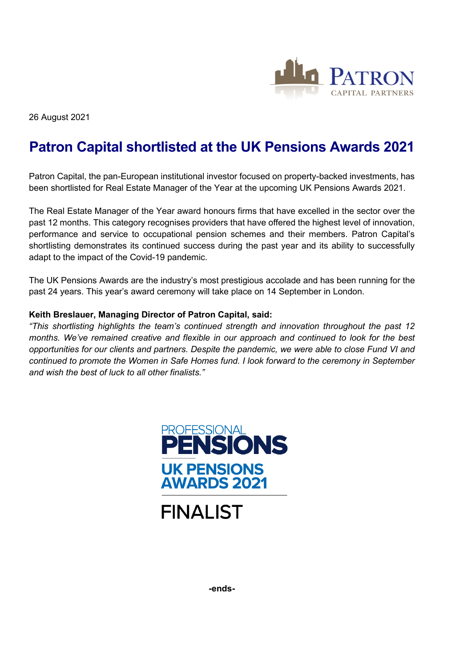

26 August 2021

## **Patron Capital shortlisted at the UK Pensions Awards 2021**

Patron Capital, the pan-European institutional investor focused on property-backed investments, has been shortlisted for Real Estate Manager of the Year at the upcoming UK Pensions Awards 2021.

The Real Estate Manager of the Year award honours firms that have excelled in the sector over the past 12 months. This category recognises providers that have offered the highest level of innovation, performance and service to occupational pension schemes and their members. Patron Capital's shortlisting demonstrates its continued success during the past year and its ability to successfully adapt to the impact of the Covid-19 pandemic.

The UK Pensions Awards are the industry's most prestigious accolade and has been running for the past 24 years. This year's award ceremony will take place on 14 September in London.

## **Keith Breslauer, Managing Director of Patron Capital, said:**

*"This shortlisting highlights the team's continued strength and innovation throughout the past 12 months. We've remained creative and flexible in our approach and continued to look for the best opportunities for our clients and partners. Despite the pandemic, we were able to close Fund VI and continued to promote the Women in Safe Homes fund. I look forward to the ceremony in September and wish the best of luck to all other finalists."*





**-ends-**